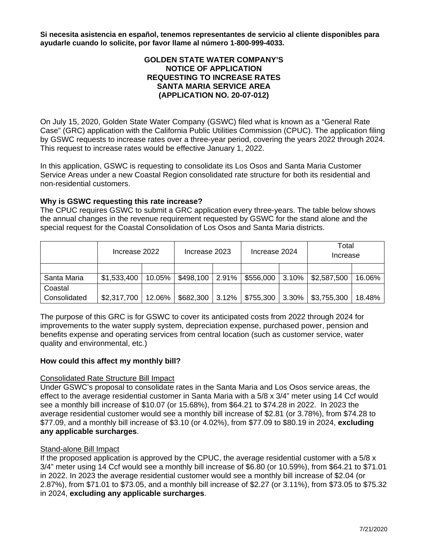**Si necesita asistencia en español, tenemos representantes de servicio al cliente disponibles para ayudarle cuando lo solicite, por favor llame al número 1-800-999-4033.**

# **GOLDEN STATE WATER COMPANY'S NOTICE OF APPLICATION REQUESTING TO INCREASE RATES SANTA MARIA SERVICE AREA (APPLICATION NO. 20-07-012)**

On July 15, 2020, Golden State Water Company (GSWC) filed what is known as a "General Rate Case" (GRC) application with the California Public Utilities Commission (CPUC). The application filing by GSWC requests to increase rates over a three-year period, covering the years 2022 through 2024. This request to increase rates would be effective January 1, 2022.

In this application, GSWC is requesting to consolidate its Los Osos and Santa Maria Customer Service Areas under a new Coastal Region consolidated rate structure for both its residential and non-residential customers.

# **Why is GSWC requesting this rate increase?**

The CPUC requires GSWC to submit a GRC application every three-years. The table below shows the annual changes in the revenue requirement requested by GSWC for the stand alone and the special request for the Coastal Consolidation of Los Osos and Santa Maria districts.

|              | Increase 2022 |        | Increase 2023 |       | Increase 2024 |          | Total<br>Increase |        |
|--------------|---------------|--------|---------------|-------|---------------|----------|-------------------|--------|
|              |               |        |               |       |               |          |                   |        |
| Santa Maria  | \$1,533,400   | 10.05% | \$498,100     | 2.91% | \$556,000     | $3.10\%$ | \$2,587,500       | 16.06% |
| Coastal      |               |        |               |       |               |          |                   |        |
| Consolidated | \$2,317,700   | 12.06% | \$682,300     | 3.12% | \$755,300     | $3.30\%$ | \$3,755,300       | 18.48% |

The purpose of this GRC is for GSWC to cover its anticipated costs from 2022 through 2024 for improvements to the water supply system, depreciation expense, purchased power, pension and benefits expense and operating services from central location (such as customer service, water quality and environmental, etc.)

#### **How could this affect my monthly bill?**

#### Consolidated Rate Structure Bill Impact

Under GSWC's proposal to consolidate rates in the Santa Maria and Los Osos service areas, the effect to the average residential customer in Santa Maria with a 5/8 x 3/4" meter using 14 Ccf would see a monthly bill increase of \$10.07 (or 15.68%), from \$64.21 to \$74.28 in 2022. In 2023 the average residential customer would see a monthly bill increase of \$2.81 (or 3.78%), from \$74.28 to \$77.09, and a monthly bill increase of \$3.10 (or 4.02%), from \$77.09 to \$80.19 in 2024, **excluding any applicable surcharges**.

## Stand-alone Bill Impact

If the proposed application is approved by the CPUC, the average residential customer with a  $5/8 \times$ 3/4" meter using 14 Ccf would see a monthly bill increase of \$6.80 (or 10.59%), from \$64.21 to \$71.01 in 2022. In 2023 the average residential customer would see a monthly bill increase of \$2.04 (or 2.87%), from \$71.01 to \$73.05, and a monthly bill increase of \$2.27 (or 3.11%), from \$73.05 to \$75.32 in 2024, **excluding any applicable surcharges**.